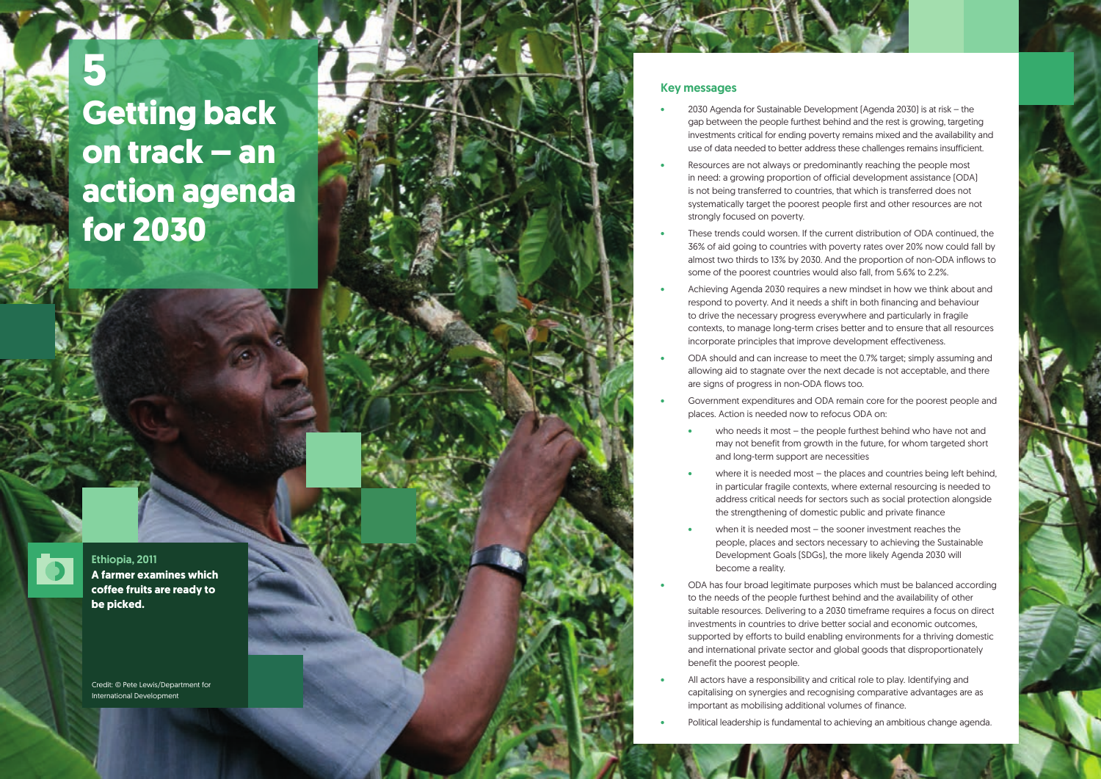Ethiopia, 2011 **A farmer examines which coffee fruits are ready to be picked.**

## Key messages

• 2030 Agenda for Sustainable Development (Agenda 2030) is at risk – the gap between the people furthest behind and the rest is growing, targeting investments critical for ending poverty remains mixed and the availability and use of data needed to better address these challenges remains insufficient.

in need: a growing proportion of official development assistance (ODA) systematically target the poorest people first and other resources are not

• These trends could worsen. If the current distribution of ODA continued, the 36% of aid going to countries with poverty rates over 20% now could fall by almost two thirds to 13% by 2030. And the proportion of non-ODA inflows to

who needs it most – the people furthest behind who have not and may not benefit from growth in the future, for whom targeted short

where it is needed most  $-$  the places and countries being left behind, in particular fragile contexts, where external resourcing is needed to address critical needs for sectors such as social protection alongside

when it is needed most – the sooner investment reaches the people, places and sectors necessary to achieving the Sustainable Development Goals (SDGs), the more likely Agenda 2030 will

respond to poverty. And it needs a shift in both financing and behaviour contexts, to manage long-term crises better and to ensure that all resources

• ODA should and can increase to meet the 0.7% target; simply assuming and allowing aid to stagnate over the next decade is not acceptable, and there

- 
- Resources are not always or predominantly reaching the people most is not being transferred to countries, that which is transferred does not strongly focused on poverty.
- some of the poorest countries would also fall, from 5.6% to 2.2%.
- Achieving Agenda 2030 requires a new mindset in how we think about and to drive the necessary progress everywhere and particularly in fragile incorporate principles that improve development effectiveness.
- are signs of progress in non-ODA flows too.
- places. Action is needed now to refocus ODA on:
	- and long-term support are necessities
	- the strengthening of domestic public and private finance
	- become a reality.
- to the needs of the people furthest behind and the availability of other investments in countries to drive better social and economic outcomes, benefit the poorest people.
- All actors have a responsibility and critical role to play. Identifying and important as mobilising additional volumes of finance.
- 



• Government expenditures and ODA remain core for the poorest people and

• ODA has four broad legitimate purposes which must be balanced according suitable resources. Delivering to a 2030 timeframe requires a focus on direct supported by efforts to build enabling environments for a thriving domestic and international private sector and global goods that disproportionately

capitalising on synergies and recognising comparative advantages are as

• Political leadership is fundamental to achieving an ambitious change agenda.



# **5 Getting back on track – an action agenda for 2030**



Credit: © Pete Lewis/Department for International Development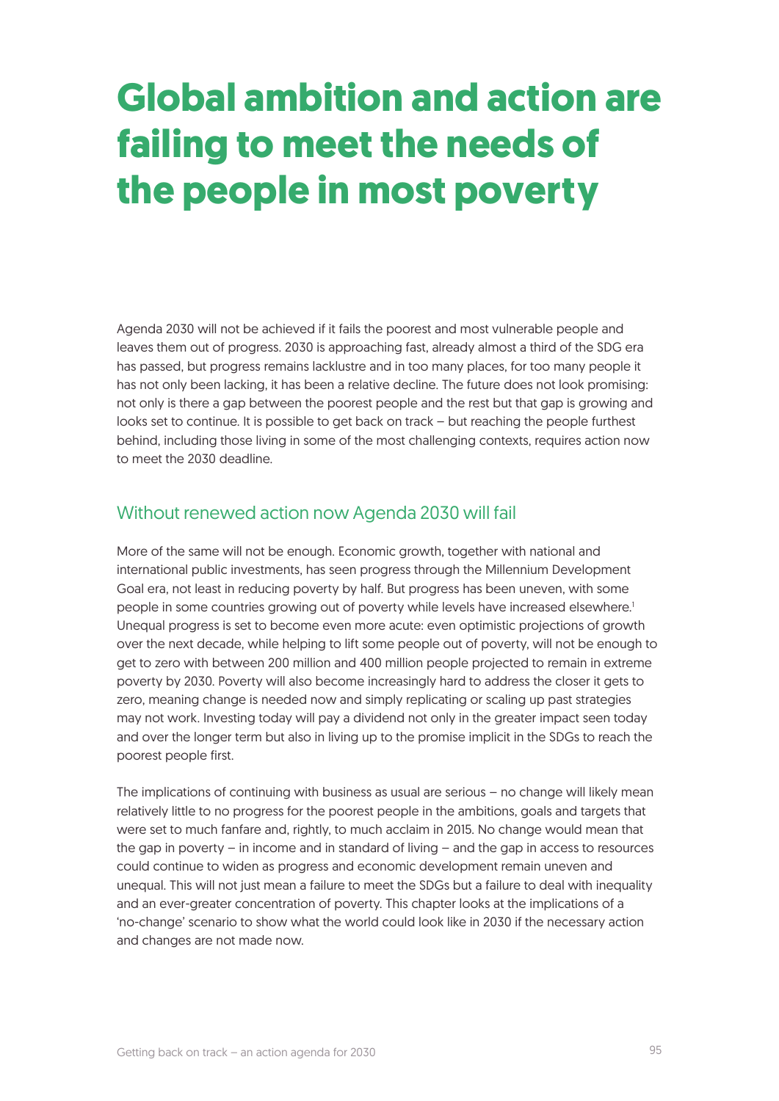## **Global ambition and action are failing to meet the needs of the people in most poverty**

Agenda 2030 will not be achieved if it fails the poorest and most vulnerable people and leaves them out of progress. 2030 is approaching fast, already almost a third of the SDG era has passed, but progress remains lacklustre and in too many places, for too many people it has not only been lacking, it has been a relative decline. The future does not look promising: not only is there a gap between the poorest people and the rest but that gap is growing and looks set to continue. It is possible to get back on track – but reaching the people furthest behind, including those living in some of the most challenging contexts, requires action now to meet the 2030 deadline.

## Without renewed action now Agenda 2030 will fail

More of the same will not be enough. Economic growth, together with national and international public investments, has seen progress through the Millennium Development Goal era, not least in reducing poverty by half. But progress has been uneven, with some people in some countries growing out of poverty while levels have increased elsewhere.<sup>1</sup> Unequal progress is set to become even more acute: even optimistic projections of growth over the next decade, while helping to lift some people out of poverty, will not be enough to get to zero with between 200 million and 400 million people projected to remain in extreme poverty by 2030. Poverty will also become increasingly hard to address the closer it gets to zero, meaning change is needed now and simply replicating or scaling up past strategies may not work. Investing today will pay a dividend not only in the greater impact seen today and over the longer term but also in living up to the promise implicit in the SDGs to reach the poorest people first.

The implications of continuing with business as usual are serious – no change will likely mean relatively little to no progress for the poorest people in the ambitions, goals and targets that were set to much fanfare and, rightly, to much acclaim in 2015. No change would mean that the gap in poverty – in income and in standard of living – and the gap in access to resources could continue to widen as progress and economic development remain uneven and unequal. This will not just mean a failure to meet the SDGs but a failure to deal with inequality and an ever-greater concentration of poverty. This chapter looks at the implications of a 'no-change' scenario to show what the world could look like in 2030 if the necessary action and changes are not made now.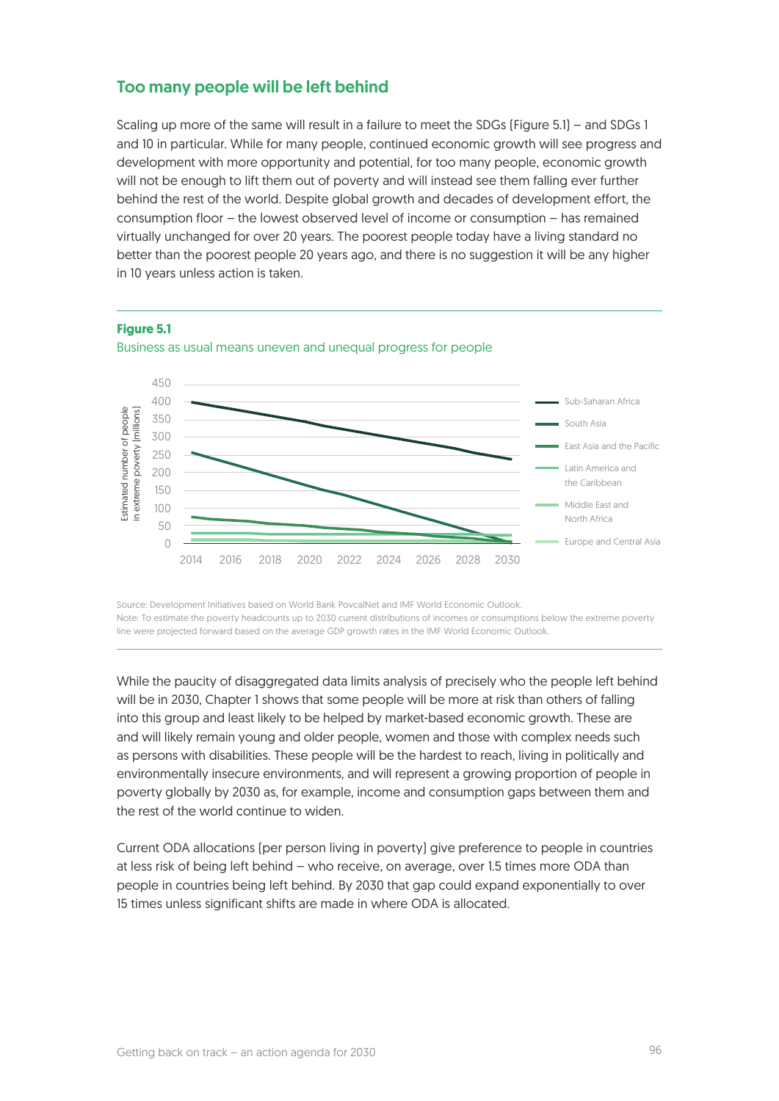## Too many people will be left behind

Scaling up more of the same will result in a failure to meet the SDGs (Figure 5.1) – and SDGs 1 and 10 in particular. While for many people, continued economic growth will see progress and development with more opportunity and potential, for too many people, economic growth will not be enough to lift them out of poverty and will instead see them falling ever further behind the rest of the world. Despite global growth and decades of development effort, the consumption floor – the lowest observed level of income or consumption – has remained virtually unchanged for over 20 years. The poorest people today have a living standard no better than the poorest people 20 years ago, and there is no suggestion it will be any higher in 10 years unless action is taken.



**Figure 5.1**

Source: Development Initiatives based on World Bank PovcalNet and IMF World Economic Outlook. Note: To estimate the poverty headcounts up to 2030 current distributions of incomes or consumptions below the extreme poverty line were projected forward based on the average GDP growth rates in the IMF World Economic Outlook.

While the paucity of disaggregated data limits analysis of precisely who the people left behind will be in 2030, Chapter 1 shows that some people will be more at risk than others of falling into this group and least likely to be helped by market-based economic growth. These are and will likely remain young and older people, women and those with complex needs such as persons with disabilities. These people will be the hardest to reach, living in politically and environmentally insecure environments, and will represent a growing proportion of people in poverty globally by 2030 as, for example, income and consumption gaps between them and the rest of the world continue to widen.

Current ODA allocations (per person living in poverty) give preference to people in countries at less risk of being left behind – who receive, on average, over 1.5 times more ODA than people in countries being left behind. By 2030 that gap could expand exponentially to over 15 times unless significant shifts are made in where ODA is allocated.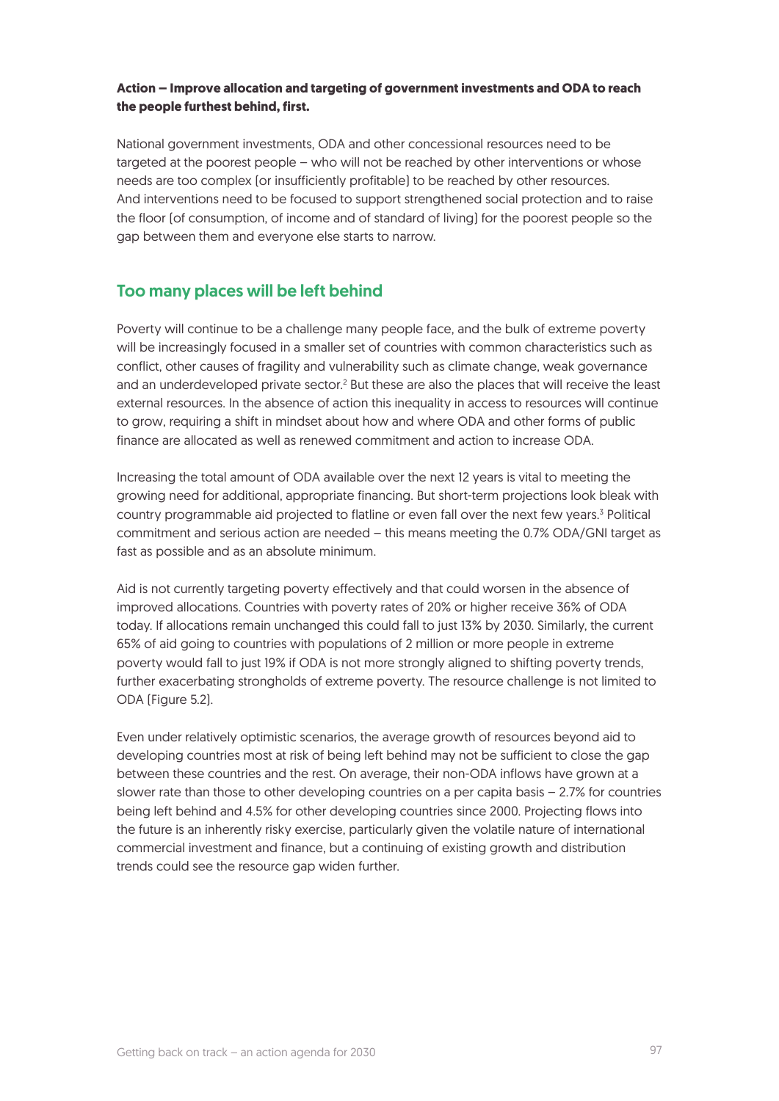#### **Action – Improve allocation and targeting of government investments and ODA to reach the people furthest behind, first.**

National government investments, ODA and other concessional resources need to be targeted at the poorest people – who will not be reached by other interventions or whose needs are too complex (or insufficiently profitable) to be reached by other resources. And interventions need to be focused to support strengthened social protection and to raise the floor (of consumption, of income and of standard of living) for the poorest people so the gap between them and everyone else starts to narrow.

## Too many places will be left behind

Poverty will continue to be a challenge many people face, and the bulk of extreme poverty will be increasingly focused in a smaller set of countries with common characteristics such as conflict, other causes of fragility and vulnerability such as climate change, weak governance and an underdeveloped private sector.<sup>2</sup> But these are also the places that will receive the least external resources. In the absence of action this inequality in access to resources will continue to grow, requiring a shift in mindset about how and where ODA and other forms of public finance are allocated as well as renewed commitment and action to increase ODA.

Increasing the total amount of ODA available over the next 12 years is vital to meeting the growing need for additional, appropriate financing. But short-term projections look bleak with country programmable aid projected to flatline or even fall over the next few years.<sup>3</sup> Political commitment and serious action are needed – this means meeting the 0.7% ODA/GNI target as fast as possible and as an absolute minimum.

Aid is not currently targeting poverty effectively and that could worsen in the absence of improved allocations. Countries with poverty rates of 20% or higher receive 36% of ODA today. If allocations remain unchanged this could fall to just 13% by 2030. Similarly, the current 65% of aid going to countries with populations of 2 million or more people in extreme poverty would fall to just 19% if ODA is not more strongly aligned to shifting poverty trends, further exacerbating strongholds of extreme poverty. The resource challenge is not limited to ODA (Figure 5.2).

Even under relatively optimistic scenarios, the average growth of resources beyond aid to developing countries most at risk of being left behind may not be sufficient to close the gap between these countries and the rest. On average, their non-ODA inflows have grown at a slower rate than those to other developing countries on a per capita basis – 2.7% for countries being left behind and 4.5% for other developing countries since 2000. Projecting flows into the future is an inherently risky exercise, particularly given the volatile nature of international commercial investment and finance, but a continuing of existing growth and distribution trends could see the resource gap widen further.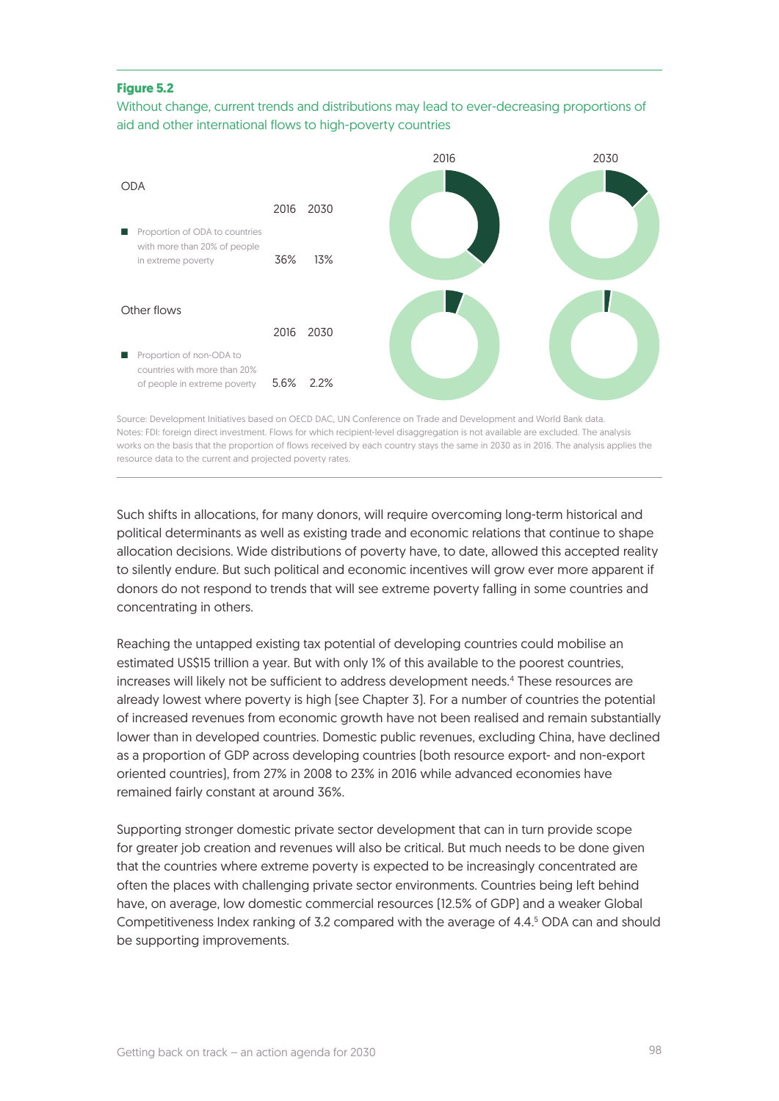#### **Figure 5.2**

#### Without change, current trends and distributions may lead to ever-decreasing proportions of aid and other international flows to high-poverty countries



Source: Development Initiatives based on OECD DAC, UN Conference on Trade and Development and World Bank data. Notes: FDI: foreign direct investment. Flows for which recipient-level disaggregation is not available are excluded. The analysis works on the basis that the proportion of flows received by each country stays the same in 2030 as in 2016. The analysis applies the resource data to the current and projected poverty rates.

Such shifts in allocations, for many donors, will require overcoming long-term historical and political determinants as well as existing trade and economic relations that continue to shape allocation decisions. Wide distributions of poverty have, to date, allowed this accepted reality to silently endure. But such political and economic incentives will grow ever more apparent if donors do not respond to trends that will see extreme poverty falling in some countries and concentrating in others.

Reaching the untapped existing tax potential of developing countries could mobilise an estimated US\$15 trillion a year. But with only 1% of this available to the poorest countries, increases will likely not be sufficient to address development needs.4 These resources are already lowest where poverty is high (see Chapter 3). For a number of countries the potential of increased revenues from economic growth have not been realised and remain substantially lower than in developed countries. Domestic public revenues, excluding China, have declined as a proportion of GDP across developing countries (both resource export- and non-export oriented countries), from 27% in 2008 to 23% in 2016 while advanced economies have remained fairly constant at around 36%.

Supporting stronger domestic private sector development that can in turn provide scope for greater job creation and revenues will also be critical. But much needs to be done given that the countries where extreme poverty is expected to be increasingly concentrated are often the places with challenging private sector environments. Countries being left behind have, on average, low domestic commercial resources (12.5% of GDP) and a weaker Global Competitiveness Index ranking of 3.2 compared with the average of 4.4.5 ODA can and should be supporting improvements.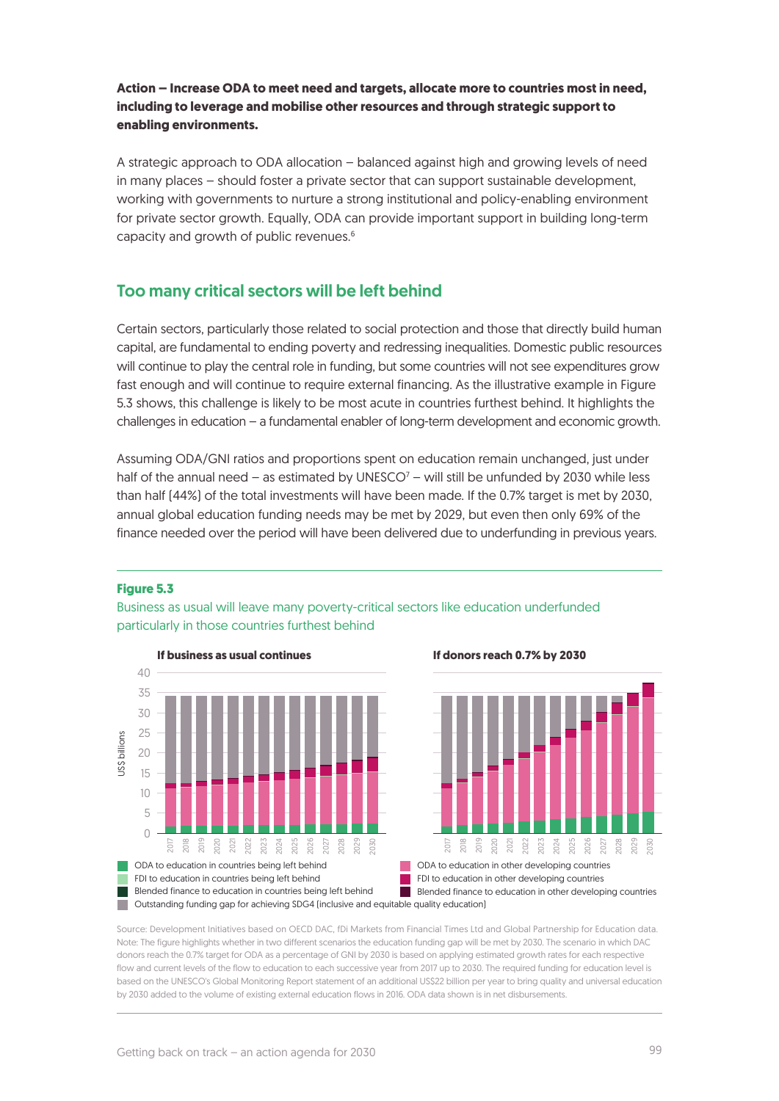## **Action – Increase ODA to meet need and targets, allocate more to countries most in need, including to leverage and mobilise other resources and through strategic support to enabling environments.**

A strategic approach to ODA allocation – balanced against high and growing levels of need in many places – should foster a private sector that can support sustainable development, working with governments to nurture a strong institutional and policy-enabling environment for private sector growth. Equally, ODA can provide important support in building long-term capacity and growth of public revenues.6

## Too many critical sectors will be left behind

Certain sectors, particularly those related to social protection and those that directly build human capital, are fundamental to ending poverty and redressing inequalities. Domestic public resources will continue to play the central role in funding, but some countries will not see expenditures grow fast enough and will continue to require external financing. As the illustrative example in Figure 5.3 shows, this challenge is likely to be most acute in countries furthest behind. It highlights the challenges in education – a fundamental enabler of long-term development and economic growth.

Assuming ODA/GNI ratios and proportions spent on education remain unchanged, just under half of the annual need  $-$  as estimated by UNESCO<sup>7</sup> – will still be unfunded by 2030 while less than half (44%) of the total investments will have been made. If the 0.7% target is met by 2030, annual global education funding needs may be met by 2029, but even then only 69% of the finance needed over the period will have been delivered due to underfunding in previous years.

#### **Figure 5.3**



Business as usual will leave many poverty-critical sectors like education underfunded particularly in those countries furthest behind



**Outstanding funding gap for achieving SDG4 (inclusive and equitable quality education)** Blended finance to education in countries being left behind Blended finance to education in other developing countries FDI to education in countries being left behind FDI to education in other developing countries

Source: Development Initiatives based on OECD DAC, fDi Markets from Financial Times Ltd and Global Partnership for Education data. Note: The figure highlights whether in two different scenarios the education funding gap will be met by 2030. The scenario in which DAC donors reach the 0.7% target for ODA as a percentage of GNI by 2030 is based on applying estimated growth rates for each respective flow and current levels of the flow to education to each successive year from 2017 up to 2030. The required funding for education level is based on the UNESCO's Global Monitoring Report statement of an additional US\$22 billion per year to bring quality and universal education by 2030 added to the volume of existing external education flows in 2016. ODA data shown is in net disbursements.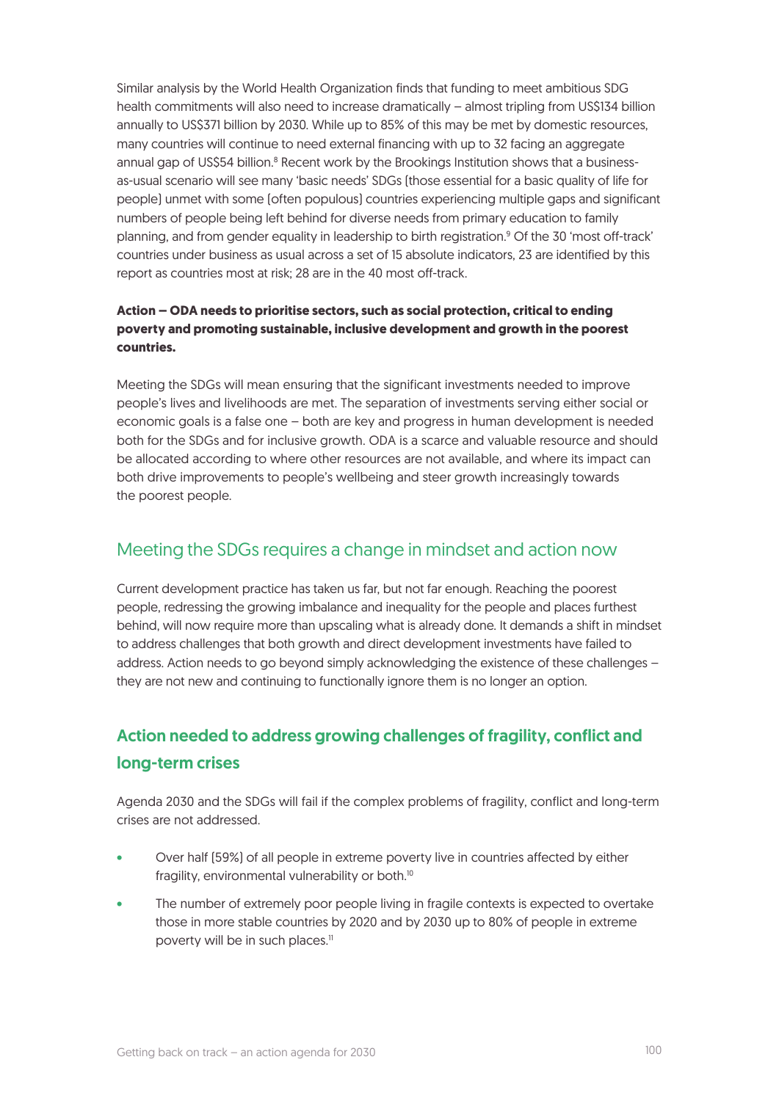Similar analysis by the World Health Organization finds that funding to meet ambitious SDG health commitments will also need to increase dramatically – almost tripling from US\$134 billion annually to US\$371 billion by 2030. While up to 85% of this may be met by domestic resources, many countries will continue to need external financing with up to 32 facing an aggregate annual gap of US\$54 billion.<sup>8</sup> Recent work by the Brookings Institution shows that a businessas-usual scenario will see many 'basic needs' SDGs (those essential for a basic quality of life for people) unmet with some (often populous) countries experiencing multiple gaps and significant numbers of people being left behind for diverse needs from primary education to family planning, and from gender equality in leadership to birth registration.<sup>9</sup> Of the 30 'most off-track' countries under business as usual across a set of 15 absolute indicators, 23 are identified by this report as countries most at risk; 28 are in the 40 most off-track.

## **Action – ODA needs to prioritise sectors, such as social protection, critical to ending poverty and promoting sustainable, inclusive development and growth in the poorest countries.**

Meeting the SDGs will mean ensuring that the significant investments needed to improve people's lives and livelihoods are met. The separation of investments serving either social or economic goals is a false one – both are key and progress in human development is needed both for the SDGs and for inclusive growth. ODA is a scarce and valuable resource and should be allocated according to where other resources are not available, and where its impact can both drive improvements to people's wellbeing and steer growth increasingly towards the poorest people.

## Meeting the SDGs requires a change in mindset and action now

Current development practice has taken us far, but not far enough. Reaching the poorest people, redressing the growing imbalance and inequality for the people and places furthest behind, will now require more than upscaling what is already done. It demands a shift in mindset to address challenges that both growth and direct development investments have failed to address. Action needs to go beyond simply acknowledging the existence of these challenges – they are not new and continuing to functionally ignore them is no longer an option.

## Action needed to address growing challenges of fragility, conflict and long-term crises

Agenda 2030 and the SDGs will fail if the complex problems of fragility, conflict and long-term crises are not addressed.

- Over half (59%) of all people in extreme poverty live in countries affected by either fragility, environmental vulnerability or both.<sup>10</sup>
- The number of extremely poor people living in fragile contexts is expected to overtake those in more stable countries by 2020 and by 2030 up to 80% of people in extreme poverty will be in such places.<sup>11</sup>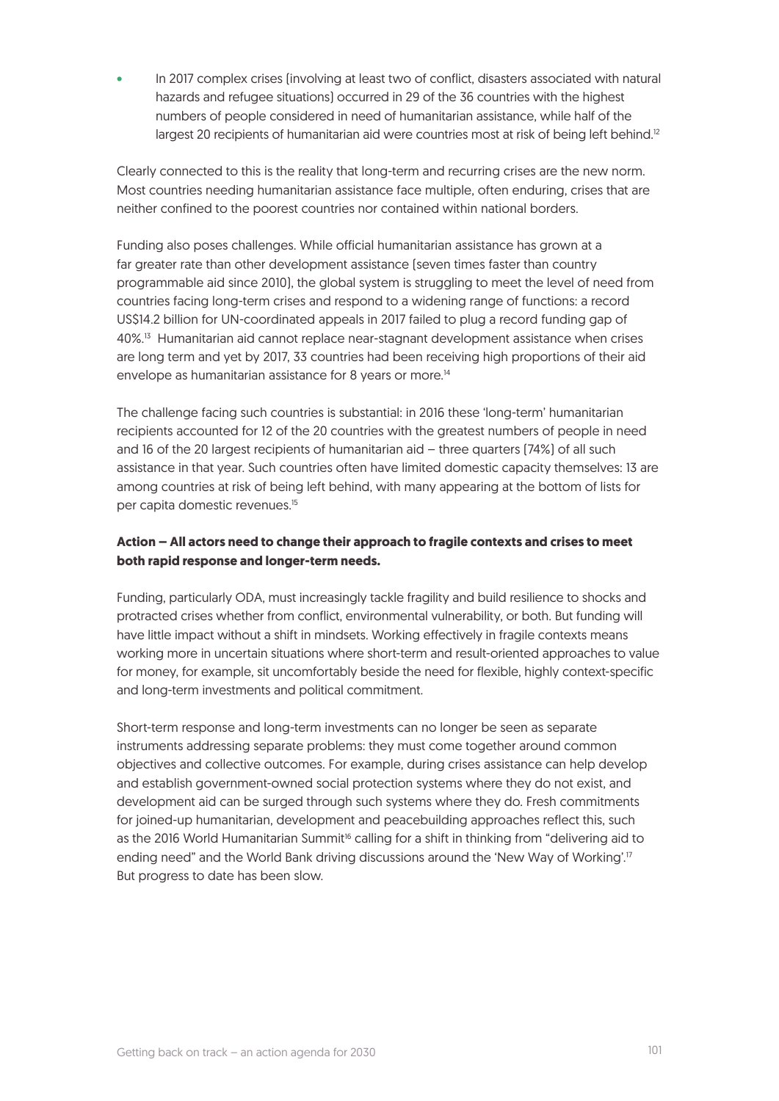In 2017 complex crises (involving at least two of conflict, disasters associated with natural hazards and refugee situations) occurred in 29 of the 36 countries with the highest numbers of people considered in need of humanitarian assistance, while half of the largest 20 recipients of humanitarian aid were countries most at risk of being left behind.<sup>12</sup>

Clearly connected to this is the reality that long-term and recurring crises are the new norm. Most countries needing humanitarian assistance face multiple, often enduring, crises that are neither confined to the poorest countries nor contained within national borders.

Funding also poses challenges. While official humanitarian assistance has grown at a far greater rate than other development assistance (seven times faster than country programmable aid since 2010), the global system is struggling to meet the level of need from countries facing long-term crises and respond to a widening range of functions: a record US\$14.2 billion for UN-coordinated appeals in 2017 failed to plug a record funding gap of 40%.13 Humanitarian aid cannot replace near-stagnant development assistance when crises are long term and yet by 2017, 33 countries had been receiving high proportions of their aid envelope as humanitarian assistance for 8 years or more.<sup>14</sup>

The challenge facing such countries is substantial: in 2016 these 'long-term' humanitarian recipients accounted for 12 of the 20 countries with the greatest numbers of people in need and 16 of the 20 largest recipients of humanitarian aid – three quarters (74%) of all such assistance in that year. Such countries often have limited domestic capacity themselves: 13 are among countries at risk of being left behind, with many appearing at the bottom of lists for per capita domestic revenues.15

## **Action – All actors need to change their approach to fragile contexts and crises to meet both rapid response and longer-term needs.**

Funding, particularly ODA, must increasingly tackle fragility and build resilience to shocks and protracted crises whether from conflict, environmental vulnerability, or both. But funding will have little impact without a shift in mindsets. Working effectively in fragile contexts means working more in uncertain situations where short-term and result-oriented approaches to value for money, for example, sit uncomfortably beside the need for flexible, highly context-specific and long-term investments and political commitment.

Short-term response and long-term investments can no longer be seen as separate instruments addressing separate problems: they must come together around common objectives and collective outcomes. For example, during crises assistance can help develop and establish government-owned social protection systems where they do not exist, and development aid can be surged through such systems where they do. Fresh commitments for joined-up humanitarian, development and peacebuilding approaches reflect this, such as the 2016 World Humanitarian Summit<sup>16</sup> calling for a shift in thinking from "delivering aid to ending need" and the World Bank driving discussions around the 'New Way of Working'.<sup>17</sup> But progress to date has been slow.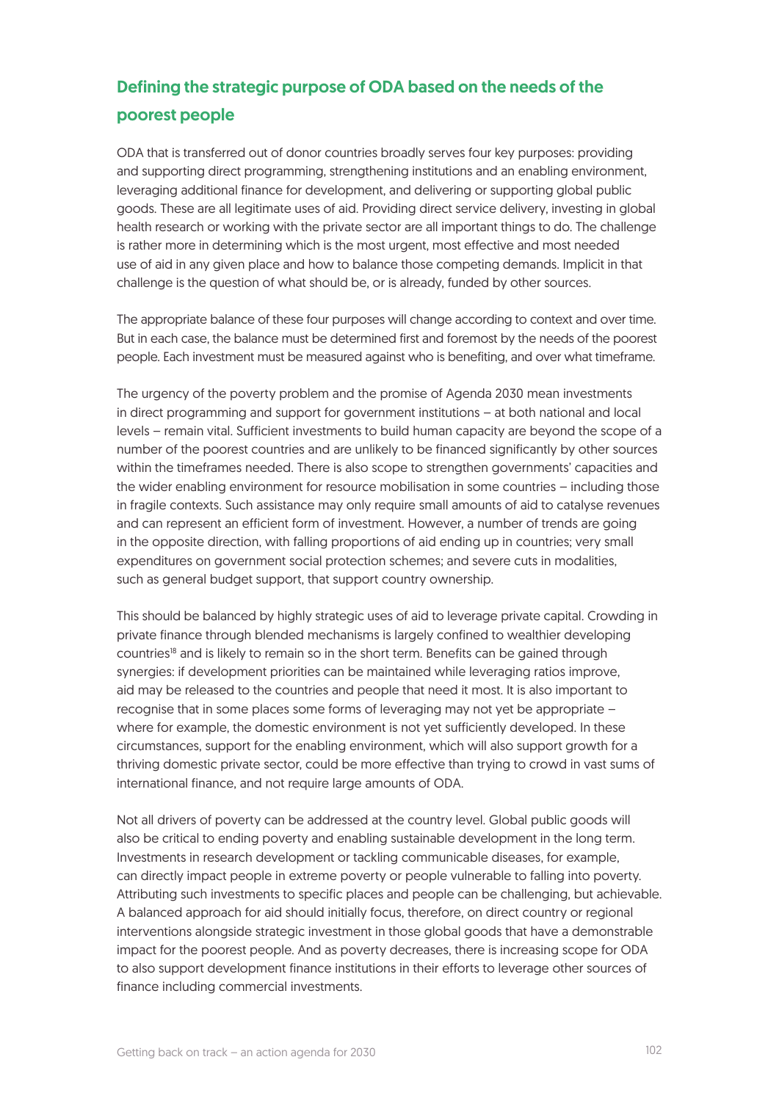## Defining the strategic purpose of ODA based on the needs of the poorest people

ODA that is transferred out of donor countries broadly serves four key purposes: providing and supporting direct programming, strengthening institutions and an enabling environment, leveraging additional finance for development, and delivering or supporting global public goods. These are all legitimate uses of aid. Providing direct service delivery, investing in global health research or working with the private sector are all important things to do. The challenge is rather more in determining which is the most urgent, most effective and most needed use of aid in any given place and how to balance those competing demands. Implicit in that challenge is the question of what should be, or is already, funded by other sources.

The appropriate balance of these four purposes will change according to context and over time. But in each case, the balance must be determined first and foremost by the needs of the poorest people. Each investment must be measured against who is benefiting, and over what timeframe.

The urgency of the poverty problem and the promise of Agenda 2030 mean investments in direct programming and support for government institutions – at both national and local levels – remain vital. Sufficient investments to build human capacity are beyond the scope of a number of the poorest countries and are unlikely to be financed significantly by other sources within the timeframes needed. There is also scope to strengthen governments' capacities and the wider enabling environment for resource mobilisation in some countries – including those in fragile contexts. Such assistance may only require small amounts of aid to catalyse revenues and can represent an efficient form of investment. However, a number of trends are going in the opposite direction, with falling proportions of aid ending up in countries; very small expenditures on government social protection schemes; and severe cuts in modalities, such as general budget support, that support country ownership.

This should be balanced by highly strategic uses of aid to leverage private capital. Crowding in private finance through blended mechanisms is largely confined to wealthier developing countries<sup>18</sup> and is likely to remain so in the short term. Benefits can be gained through synergies: if development priorities can be maintained while leveraging ratios improve, aid may be released to the countries and people that need it most. It is also important to recognise that in some places some forms of leveraging may not yet be appropriate – where for example, the domestic environment is not yet sufficiently developed. In these circumstances, support for the enabling environment, which will also support growth for a thriving domestic private sector, could be more effective than trying to crowd in vast sums of international finance, and not require large amounts of ODA.

Not all drivers of poverty can be addressed at the country level. Global public goods will also be critical to ending poverty and enabling sustainable development in the long term. Investments in research development or tackling communicable diseases, for example, can directly impact people in extreme poverty or people vulnerable to falling into poverty. Attributing such investments to specific places and people can be challenging, but achievable. A balanced approach for aid should initially focus, therefore, on direct country or regional interventions alongside strategic investment in those global goods that have a demonstrable impact for the poorest people. And as poverty decreases, there is increasing scope for ODA to also support development finance institutions in their efforts to leverage other sources of finance including commercial investments.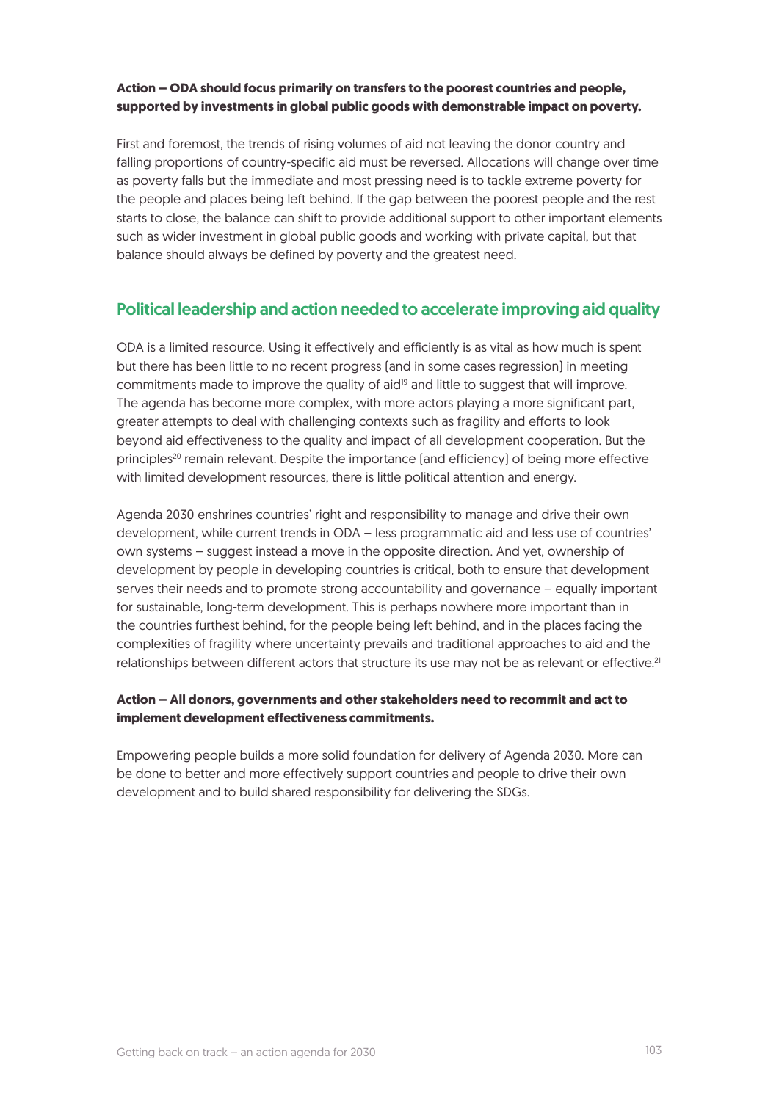#### **Action – ODA should focus primarily on transfers to the poorest countries and people, supported by investments in global public goods with demonstrable impact on poverty.**

First and foremost, the trends of rising volumes of aid not leaving the donor country and falling proportions of country-specific aid must be reversed. Allocations will change over time as poverty falls but the immediate and most pressing need is to tackle extreme poverty for the people and places being left behind. If the gap between the poorest people and the rest starts to close, the balance can shift to provide additional support to other important elements such as wider investment in global public goods and working with private capital, but that balance should always be defined by poverty and the greatest need.

## Political leadership and action needed to accelerate improving aid quality

ODA is a limited resource. Using it effectively and efficiently is as vital as how much is spent but there has been little to no recent progress (and in some cases regression) in meeting commitments made to improve the quality of aid<sup>19</sup> and little to suggest that will improve. The agenda has become more complex, with more actors playing a more significant part, greater attempts to deal with challenging contexts such as fragility and efforts to look beyond aid effectiveness to the quality and impact of all development cooperation. But the principles<sup>20</sup> remain relevant. Despite the importance (and efficiency) of being more effective with limited development resources, there is little political attention and energy.

Agenda 2030 enshrines countries' right and responsibility to manage and drive their own development, while current trends in ODA – less programmatic aid and less use of countries' own systems – suggest instead a move in the opposite direction. And yet, ownership of development by people in developing countries is critical, both to ensure that development serves their needs and to promote strong accountability and governance – equally important for sustainable, long-term development. This is perhaps nowhere more important than in the countries furthest behind, for the people being left behind, and in the places facing the complexities of fragility where uncertainty prevails and traditional approaches to aid and the relationships between different actors that structure its use may not be as relevant or effective.<sup>21</sup>

## **Action – All donors, governments and other stakeholders need to recommit and act to implement development effectiveness commitments.**

Empowering people builds a more solid foundation for delivery of Agenda 2030. More can be done to better and more effectively support countries and people to drive their own development and to build shared responsibility for delivering the SDGs.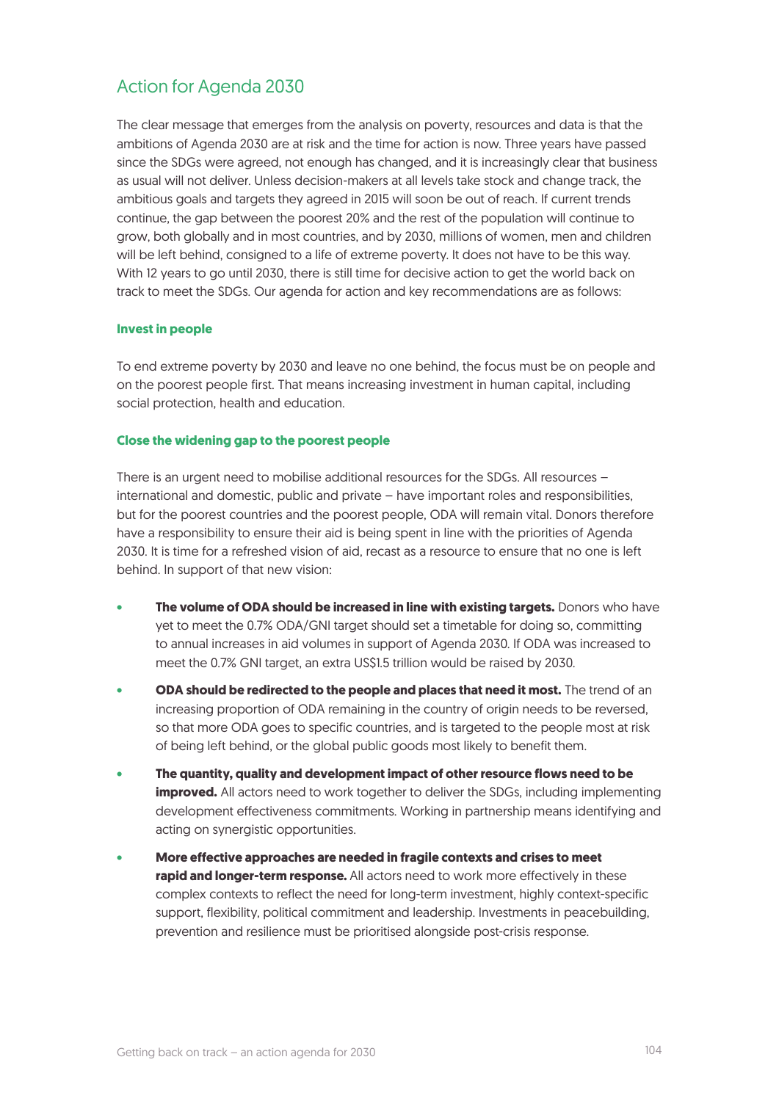## Action for Agenda 2030

The clear message that emerges from the analysis on poverty, resources and data is that the ambitions of Agenda 2030 are at risk and the time for action is now. Three years have passed since the SDGs were agreed, not enough has changed, and it is increasingly clear that business as usual will not deliver. Unless decision-makers at all levels take stock and change track, the ambitious goals and targets they agreed in 2015 will soon be out of reach. If current trends continue, the gap between the poorest 20% and the rest of the population will continue to grow, both globally and in most countries, and by 2030, millions of women, men and children will be left behind, consigned to a life of extreme poverty. It does not have to be this way. With 12 years to go until 2030, there is still time for decisive action to get the world back on track to meet the SDGs. Our agenda for action and key recommendations are as follows:

#### **Invest in people**

To end extreme poverty by 2030 and leave no one behind, the focus must be on people and on the poorest people first. That means increasing investment in human capital, including social protection, health and education.

#### **Close the widening gap to the poorest people**

There is an urgent need to mobilise additional resources for the SDGs. All resources – international and domestic, public and private – have important roles and responsibilities, but for the poorest countries and the poorest people, ODA will remain vital. Donors therefore have a responsibility to ensure their aid is being spent in line with the priorities of Agenda 2030. It is time for a refreshed vision of aid, recast as a resource to ensure that no one is left behind. In support of that new vision:

- **• The volume of ODA should be increased in line with existing targets.** Donors who have yet to meet the 0.7% ODA/GNI target should set a timetable for doing so, committing to annual increases in aid volumes in support of Agenda 2030. If ODA was increased to meet the 0.7% GNI target, an extra US\$1.5 trillion would be raised by 2030.
- **ODA should be redirected to the people and places that need it most.** The trend of an increasing proportion of ODA remaining in the country of origin needs to be reversed, so that more ODA goes to specific countries, and is targeted to the people most at risk of being left behind, or the global public goods most likely to benefit them.
- **• The quantity, quality and development impact of other resource flows need to be improved.** All actors need to work together to deliver the SDGs, including implementing development effectiveness commitments. Working in partnership means identifying and acting on synergistic opportunities.
- **• More effective approaches are needed in fragile contexts and crises to meet rapid and longer-term response.** All actors need to work more effectively in these complex contexts to reflect the need for long-term investment, highly context-specific support, flexibility, political commitment and leadership. Investments in peacebuilding, prevention and resilience must be prioritised alongside post-crisis response.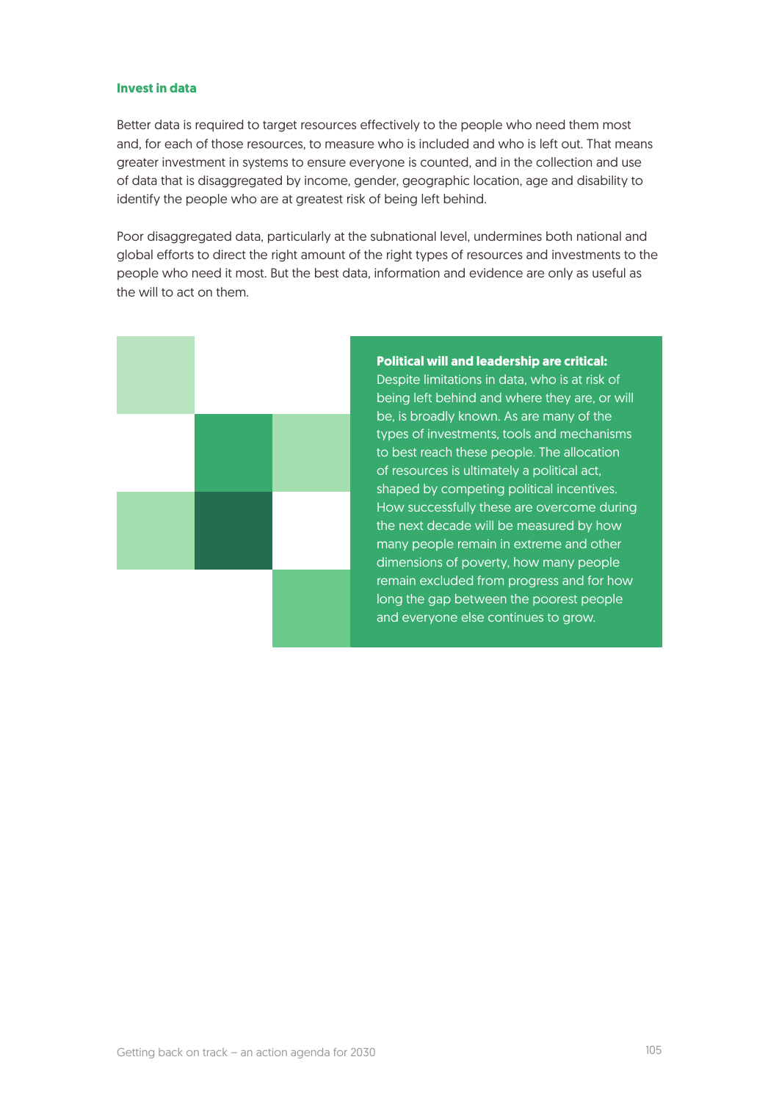#### **Invest in data**

Better data is required to target resources effectively to the people who need them most and, for each of those resources, to measure who is included and who is left out. That means greater investment in systems to ensure everyone is counted, and in the collection and use of data that is disaggregated by income, gender, geographic location, age and disability to identify the people who are at greatest risk of being left behind.

Poor disaggregated data, particularly at the subnational level, undermines both national and global efforts to direct the right amount of the right types of resources and investments to the people who need it most. But the best data, information and evidence are only as useful as the will to act on them.



**Political will and leadership are critical:**  Despite limitations in data, who is at risk of being left behind and where they are, or will be, is broadly known. As are many of the types of investments, tools and mechanisms to best reach these people. The allocation of resources is ultimately a political act, shaped by competing political incentives. How successfully these are overcome during the next decade will be measured by how many people remain in extreme and other dimensions of poverty, how many people remain excluded from progress and for how long the gap between the poorest people and everyone else continues to grow.